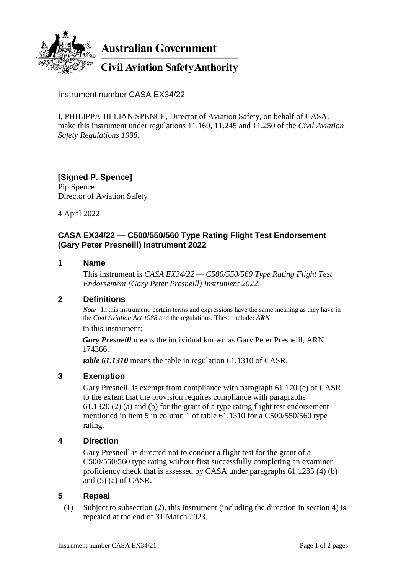

**Australian Government** 

**Civil Aviation Safety Authority** 

Instrument number CASA EX34/22

I, PHILIPPA JILLIAN SPENCE, Director of Aviation Safety, on behalf of CASA, make this instrument under regulations 11.160, 11.245 and 11.250 of the *Civil Aviation Safety Regulations 1998*.

#### **[Signed P. Spence]** Pip Spence Director of Aviation Safety

4 April 2022

# **CASA EX34/22 — C500/550/560 Type Rating Flight Test Endorsement (Gary Peter Presneill) Instrument 2022**

#### **1 Name**

This instrument is *CASA EX34/22 — C500/550/560 Type Rating Flight Test Endorsement (Gary Peter Presneill) Instrument 2022*.

## **2 Definitions**

*Note* In this instrument, certain terms and expressions have the same meaning as they have in the *Civil Aviation Act 1988* and the regulations. These include: *ARN*.

In this instrument:

*Gary Presneill* means the individual known as Gary Peter Presneill, ARN 174366.

*table 61.1310* means the table in regulation 61.1310 of CASR.

## **3 Exemption**

Gary Presneill is exempt from compliance with paragraph 61.170 (c) of CASR to the extent that the provision requires compliance with paragraphs 61.1320 (2) (a) and (b) for the grant of a type rating flight test endorsement mentioned in item 5 in column 1 of table 61.1310 for a C500/550/560 type rating.

## **4 Direction**

Gary Presneill is directed not to conduct a flight test for the grant of a C500/550/560 type rating without first successfully completing an examiner proficiency check that is assessed by CASA under paragraphs 61.1285 (4) (b) and (5) (a) of CASR.

## **5 Repeal**

(1) Subject to subsection (2), this instrument (including the direction in section 4) is repealed at the end of 31 March 2023.